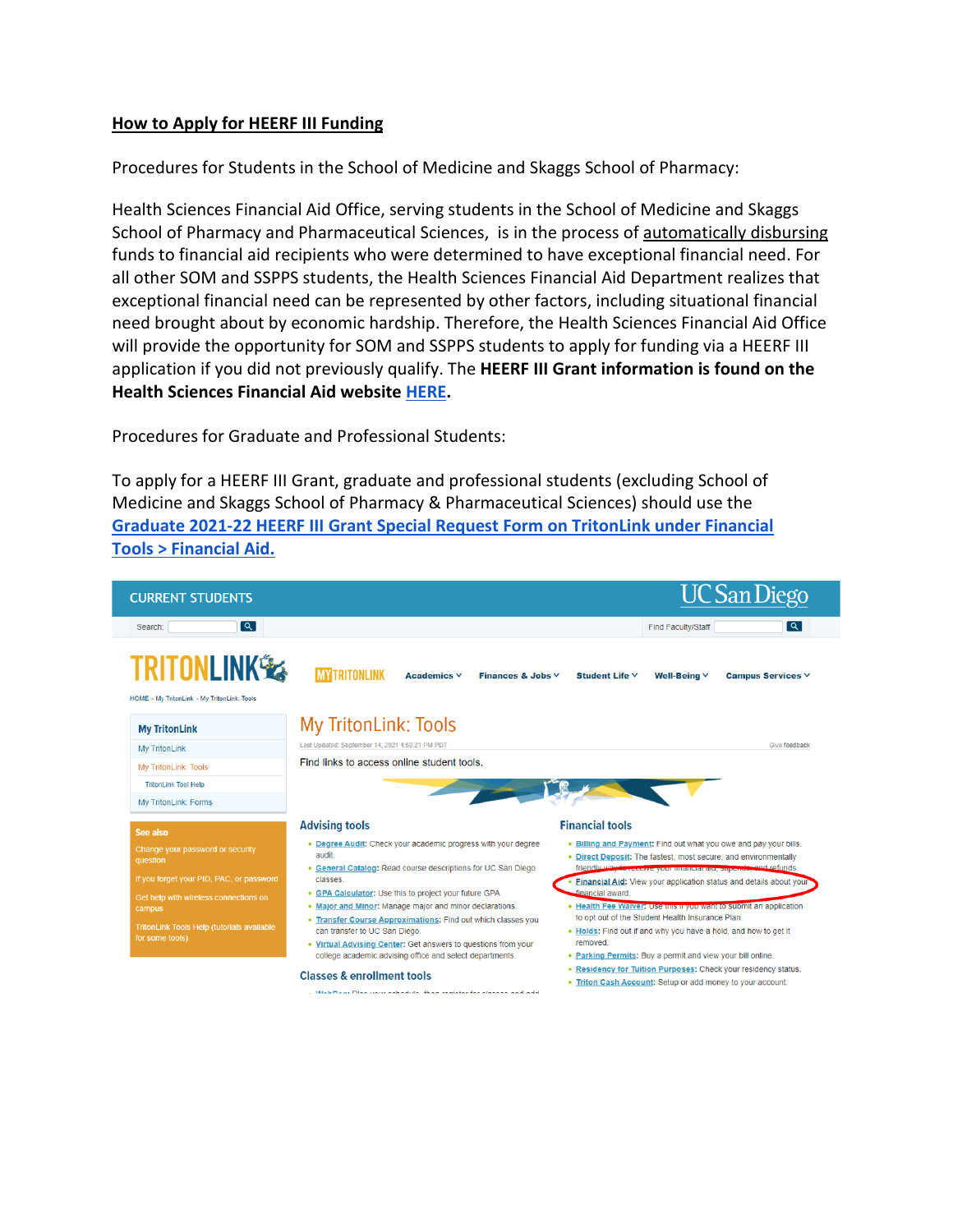## **How to Apply for HEERF III Funding**

Procedures for Students in the School of Medicine and Skaggs School of Pharmacy:

Health Sciences Financial Aid Office, serving students in the School of Medicine and Skaggs School of Pharmacy and Pharmaceutical Sciences, is in the process of automatically disbursing funds to financial aid recipients who were determined to have exceptional financial need. For all other SOM and SSPPS students, the Health Sciences Financial Aid Department realizes that exceptional financial need can be represented by other factors, including situational financial need brought about by economic hardship. Therefore, the Health Sciences Financial Aid Office will provide the opportunity for SOM and SSPPS students to apply for funding via a HEERF III application if you did not previously qualify. The **HEERF III Grant information is found on the Health Sciences Financial Aid websit[e HERE.](https://medschool.ucsd.edu/admissions/financial-aid/Pages/Publications.aspx)**

Procedures for Graduate and Professional Students:

To apply for a HEERF III Grant, graduate and professional students (excluding School of Medicine and Skaggs School of Pharmacy & Pharmaceutical Sciences) should use the **[Graduate 2021-22 HEERF III Grant Special Request Form on TritonLink under Financial](https://students.ucsd.edu/my-tritonlink/tools/index.html)  [Tools > Financial Aid.](https://students.ucsd.edu/my-tritonlink/tools/index.html)**